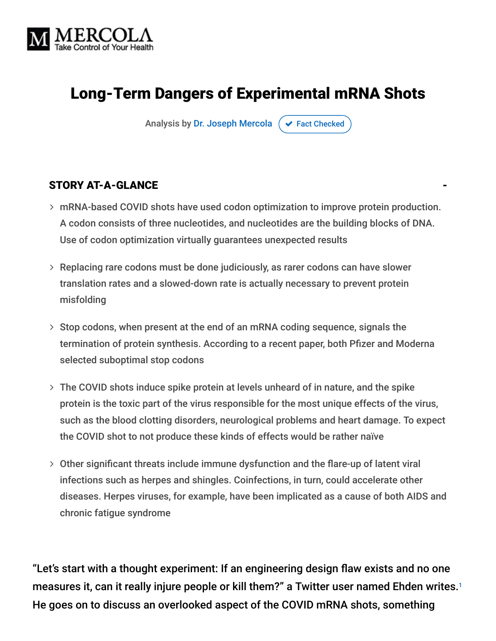

## Long-Term Dangers of Experimental mRNA Shots

Analysis by [Dr. Joseph Mercola](https://www.mercola.com/forms/background.htm)  $\sigma$  [Fact Checked](javascript:void(0))

#### STORY AT-A-GLANCE

- mRNA-based COVID shots have used codon optimization to improve protein production. A codon consists of three nucleotides, and nucleotides are the building blocks of DNA. Use of codon optimization virtually guarantees unexpected results
- Replacing rare codons must be done judiciously, as rarer codons can have slower translation rates and a slowed-down rate is actually necessary to prevent protein misfolding
- $>$  Stop codons, when present at the end of an mRNA coding sequence, signals the termination of protein synthesis. According to a recent paper, both Pfizer and Moderna selected suboptimal stop codons
- The COVID shots induce spike protein at levels unheard of in nature, and the spike protein is the toxic part of the virus responsible for the most unique effects of the virus, such as the blood clotting disorders, neurological problems and heart damage. To expect the COVID shot to not produce these kinds of effects would be rather naïve
- Other significant threats include immune dysfunction and the flare-up of latent viral infections such as herpes and shingles. Coinfections, in turn, could accelerate other diseases. Herpes viruses, for example, have been implicated as a cause of both AIDS and chronic fatigue syndrome

"Let's start with a thought experiment: If an engineering design flaw exists and no one measures it, can it really injure people or kill them?" a Twitter user named Ehden writes. 1He goes on to discuss an overlooked aspect of the COVID mRNA shots, something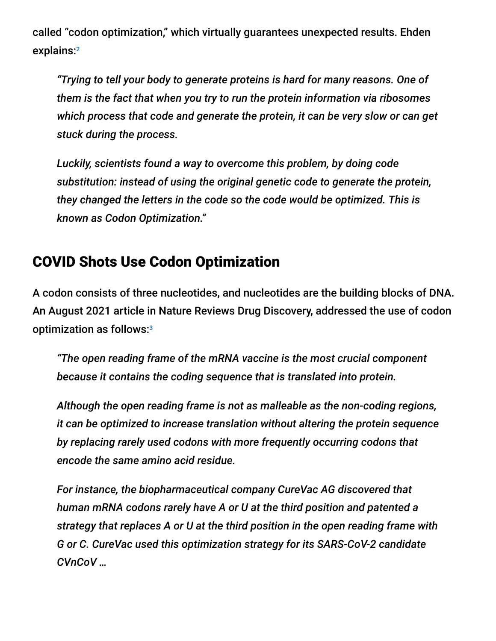called "codon optimization," which virtually guarantees unexpected results. Ehden explains: 2

*"Trying to tell your body to generate proteins is hard for many reasons. One of them is the fact that when you try to run the protein information via ribosomes which process that code and generate the protein, it can be very slow or can get stuck during the process.*

*Luckily, scientists found a way to overcome this problem, by doing code substitution: instead of using the original genetic code to generate the protein, they changed the letters in the code so the code would be optimized. This is known as Codon Optimization."*

## COVID Shots Use Codon Optimization

A codon consists of three nucleotides, and nucleotides are the building blocks of DNA. An August 2021 article in Nature Reviews Drug Discovery, addressed the use of codon optimization as follows: 3

*"The open reading frame of the mRNA vaccine is the most crucial component because it contains the coding sequence that is translated into protein.*

*Although the open reading frame is not as malleable as the non-coding regions, it can be optimized to increase translation without altering the protein sequence by replacing rarely used codons with more frequently occurring codons that encode the same amino acid residue.*

*For instance, the biopharmaceutical company CureVac AG discovered that human mRNA codons rarely have A or U at the third position and patented a strategy that replaces A or U at the third position in the open reading frame with G or C. CureVac used this optimization strategy for its SARS-CoV-2 candidate CVnCoV …*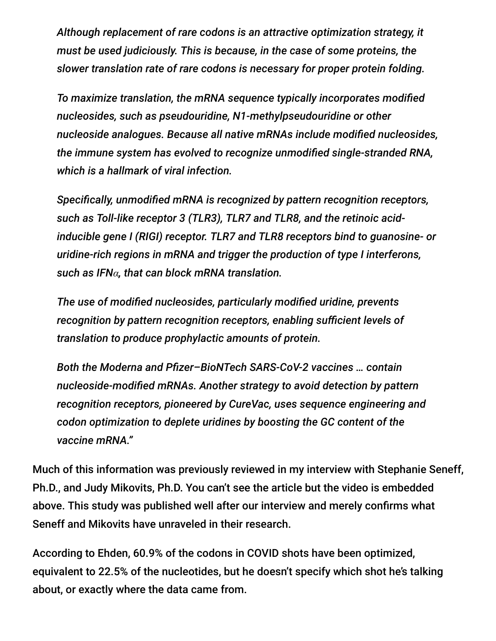*Although replacement of rare codons is an attractive optimization strategy, it must be used judiciously. This is because, in the case of some proteins, the slower translation rate of rare codons is necessary for proper protein folding.*

*To maximize translation, the mRNA sequence typically incorporates modified nucleosides, such as pseudouridine, N1-methylpseudouridine or other nucleoside analogues. Because all native mRNAs include modified nucleosides, the immune system has evolved to recognize unmodified single-stranded RNA, which is a hallmark of viral infection.*

*Specifically, unmodified mRNA is recognized by pattern recognition receptors, such as Toll-like receptor 3 (TLR3), TLR7 and TLR8, and the retinoic acidinducible gene I (RIGI) receptor. TLR7 and TLR8 receptors bind to guanosine- or uridine-rich regions in mRNA and trigger the production of type I interferons, such as IFNα, that can block mRNA translation.*

*The use of modified nucleosides, particularly modified uridine, prevents recognition by pattern recognition receptors, enabling sufficient levels of translation to produce prophylactic amounts of protein.*

*Both the Moderna and Pfizer–BioNTech SARS-CoV-2 vaccines … contain nucleoside-modified mRNAs. Another strategy to avoid detection by pattern recognition receptors, pioneered by CureVac, uses sequence engineering and codon optimization to deplete uridines by boosting the GC content of the vaccine mRNA."*

Much of this information was previously reviewed in my interview with Stephanie Seneff, Ph.D., and Judy Mikovits, Ph.D. You can't see the article but the video is embedded above. This study was published well after our interview and merely confirms what Seneff and Mikovits have unraveled in their research.

According to Ehden, 60.9% of the codons in COVID shots have been optimized, equivalent to 22.5% of the nucleotides, but he doesn't specify which shot he's talking about, or exactly where the data came from.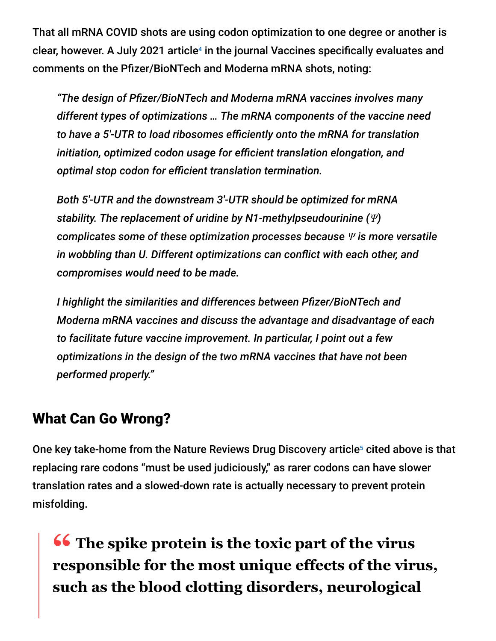That all mRNA COVID shots are using codon optimization to one degree or another is clear, however. A July 2021 article<sup>4</sup> in the journal Vaccines specifically evaluates and comments on the Pfizer/BioNTech and Moderna mRNA shots, noting:

*"The design of Pfizer/BioNTech and Moderna mRNA vaccines involves many different types of optimizations … The mRNA components of the vaccine need to have a 5′-UTR to load ribosomes efficiently onto the mRNA for translation initiation, optimized codon usage for efficient translation elongation, and optimal stop codon for efficient translation termination.*

*Both 5′-UTR and the downstream 3′-UTR should be optimized for mRNA stability. The replacement of uridine by N1-methylpseudourinine (Ψ) complicates some of these optimization processes because Ψ is more versatile in wobbling than U. Different optimizations can conflict with each other, and compromises would need to be made.*

*I highlight the similarities and differences between Pfizer/BioNTech and Moderna mRNA vaccines and discuss the advantage and disadvantage of each to facilitate future vaccine improvement. In particular, I point out a few optimizations in the design of the two mRNA vaccines that have not been performed properly."*

#### What Can Go Wrong?

One key take-home from the Nature Reviews Drug Discovery article<sup>5</sup> cited above is that replacing rare codons "must be used judiciously," as rarer codons can have slower translation rates and a slowed-down rate is actually necessary to prevent protein misfolding.

**<sup>66</sup>** The spike protein is the toxic part of the virus<br>responsible for the most unique effects of the viru **responsible for the most unique effects of the virus, such as the blood clotting disorders, neurological**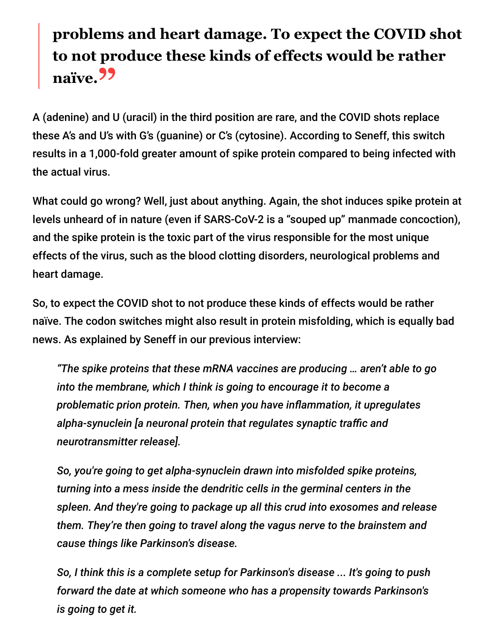# **problems and heart damage. To expect the COVID shot to not produce these kinds of effects would be rather naïve."**

A (adenine) and U (uracil) in the third position are rare, and the COVID shots replace these A's and U's with G's (guanine) or C's (cytosine). According to Seneff, this switch results in a 1,000-fold greater amount of spike protein compared to being infected with the actual virus.

What could go wrong? Well, just about anything. Again, the shot induces spike protein at levels unheard of in nature (even if SARS-CoV-2 is a "souped up" manmade concoction), and the spike protein is the toxic part of the virus responsible for the most unique effects of the virus, such as the blood clotting disorders, neurological problems and heart damage.

So, to expect the COVID shot to not produce these kinds of effects would be rather naïve. The codon switches might also result in protein misfolding, which is equally bad news. As explained by Seneff in our previous interview:

*"The spike proteins that these mRNA vaccines are producing … aren't able to go into the membrane, which I think is going to encourage it to become a problematic prion protein. Then, when you have inflammation, it upregulates alpha-synuclein [a neuronal protein that regulates synaptic traffic and neurotransmitter release].*

*So, you're going to get alpha-synuclein drawn into misfolded spike proteins, turning into a mess inside the dendritic cells in the germinal centers in the spleen. And they're going to package up all this crud into exosomes and release them. They're then going to travel along the vagus nerve to the brainstem and cause things like Parkinson's disease.*

*So, I think this is a complete setup for Parkinson's disease ... It's going to push forward the date at which someone who has a propensity towards Parkinson's is going to get it.*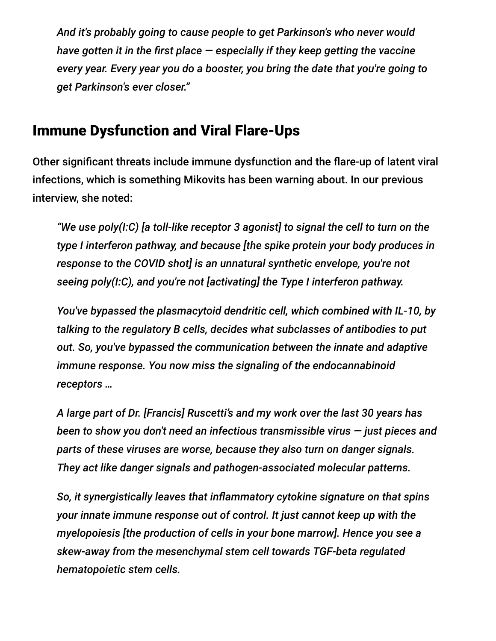*And it's probably going to cause people to get Parkinson's who never would have gotten it in the first place — especially if they keep getting the vaccine every year. Every year you do a booster, you bring the date that you're going to get Parkinson's ever closer."*

#### Immune Dysfunction and Viral Flare-Ups

Other significant threats include immune dysfunction and the flare-up of latent viral infections, which is something Mikovits has been warning about. In our previous interview, she noted:

*"We use poly(I:C) [a toll-like receptor 3 agonist] to signal the cell to turn on the type I interferon pathway, and because [the spike protein your body produces in response to the COVID shot] is an unnatural synthetic envelope, you're not seeing poly(I:C), and you're not [activating] the Type I interferon pathway.*

*You've bypassed the plasmacytoid dendritic cell, which combined with IL-10, by talking to the regulatory B cells, decides what subclasses of antibodies to put out. So, you've bypassed the communication between the innate and adaptive immune response. You now miss the signaling of the endocannabinoid receptors …*

*A large part of Dr. [Francis] Ruscetti's and my work over the last 30 years has been to show you don't need an infectious transmissible virus — just pieces and parts of these viruses are worse, because they also turn on danger signals. They act like danger signals and pathogen-associated molecular patterns.*

*So, it synergistically leaves that inflammatory cytokine signature on that spins your innate immune response out of control. It just cannot keep up with the myelopoiesis [the production of cells in your bone marrow]. Hence you see a skew-away from the mesenchymal stem cell towards TGF-beta regulated hematopoietic stem cells.*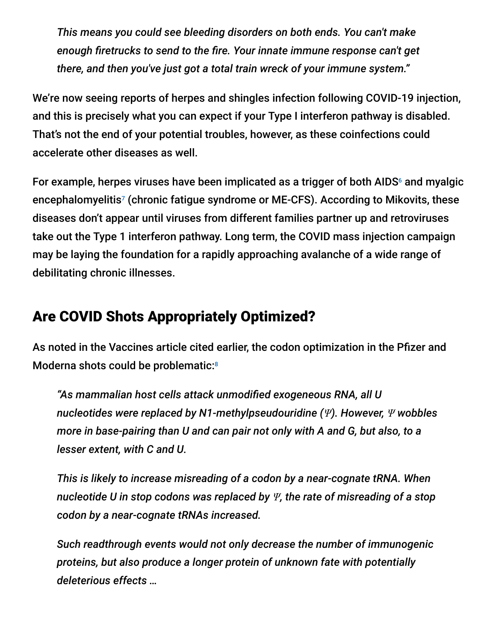*This means you could see bleeding disorders on both ends. You can't make enough firetrucks to send to the fire. Your innate immune response can't get there, and then you've just got a total train wreck of your immune system."*

We're now seeing reports of herpes and shingles infection following COVID-19 injection, and this is precisely what you can expect if your Type I interferon pathway is disabled. That's not the end of your potential troubles, however, as these coinfections could accelerate other diseases as well.

For example, herpes viruses have been implicated as a trigger of both AIDS $<sup>6</sup>$  and myalgic</sup> encephalomyelitis<sup>7</sup> (chronic fatigue syndrome or ME-CFS). According to Mikovits, these diseases don't appear until viruses from different families partner up and retroviruses take out the Type 1 interferon pathway. Long term, the COVID mass injection campaign may be laying the foundation for a rapidly approaching avalanche of a wide range of debilitating chronic illnesses.

## Are COVID Shots Appropriately Optimized?

As noted in the Vaccines article cited earlier, the codon optimization in the Pfizer and Moderna shots could be problematic:<sup>8</sup>

*"As mammalian host cells attack unmodified exogeneous RNA, all U nucleotides were replaced by N1-methylpseudouridine (Ψ). However, Ψ wobbles more in base-pairing than U and can pair not only with A and G, but also, to a lesser extent, with C and U.*

*This is likely to increase misreading of a codon by a near-cognate tRNA. When nucleotide U in stop codons was replaced by Ψ, the rate of misreading of a stop codon by a near-cognate tRNAs increased.*

*Such readthrough events would not only decrease the number of immunogenic proteins, but also produce a longer protein of unknown fate with potentially deleterious effects …*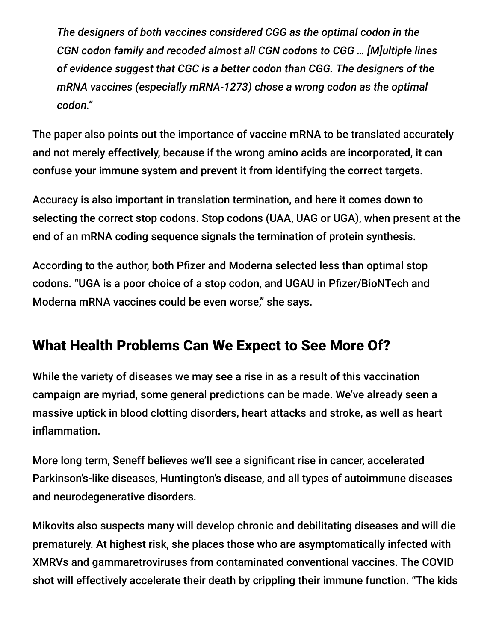*The designers of both vaccines considered CGG as the optimal codon in the CGN codon family and recoded almost all CGN codons to CGG … [M]ultiple lines of evidence suggest that CGC is a better codon than CGG. The designers of the mRNA vaccines (especially mRNA-1273) chose a wrong codon as the optimal codon."*

The paper also points out the importance of vaccine mRNA to be translated accurately and not merely effectively, because if the wrong amino acids are incorporated, it can confuse your immune system and prevent it from identifying the correct targets.

Accuracy is also important in translation termination, and here it comes down to selecting the correct stop codons. Stop codons (UAA, UAG or UGA), when present at the end of an mRNA coding sequence signals the termination of protein synthesis.

According to the author, both Pfizer and Moderna selected less than optimal stop codons. "UGA is a poor choice of a stop codon, and UGAU in Pfizer/BioNTech and Moderna mRNA vaccines could be even worse," she says.

## What Health Problems Can We Expect to See More Of?

While the variety of diseases we may see a rise in as a result of this vaccination campaign are myriad, some general predictions can be made. We've already seen a massive uptick in blood clotting disorders, heart attacks and stroke, as well as heart inflammation.

More long term, Seneff believes we'll see a significant rise in cancer, accelerated Parkinson's-like diseases, Huntington's disease, and all types of autoimmune diseases and neurodegenerative disorders.

Mikovits also suspects many will develop chronic and debilitating diseases and will die prematurely. At highest risk, she places those who are asymptomatically infected with XMRVs and gammaretroviruses from contaminated conventional vaccines. The COVID shot will effectively accelerate their death by crippling their immune function. "The kids